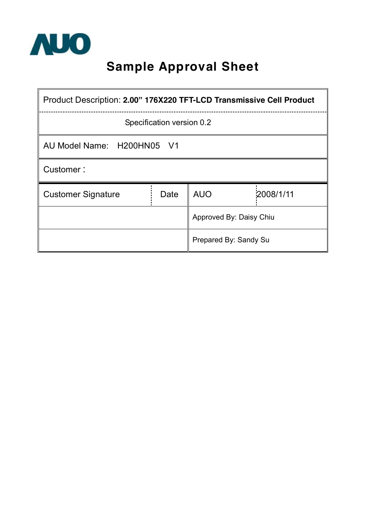

# **Sample Approval Sheet**

| Product Description: 2.00" 176X220 TFT-LCD Transmissive Cell Product |      |            |           |  |  |  |
|----------------------------------------------------------------------|------|------------|-----------|--|--|--|
| Specification version 0.2                                            |      |            |           |  |  |  |
| AU Model Name: H200HN05 V1                                           |      |            |           |  |  |  |
| Customer:                                                            |      |            |           |  |  |  |
| <b>Customer Signature</b>                                            | Date | <b>AUO</b> | 2008/1/11 |  |  |  |
| Approved By: Daisy Chiu                                              |      |            |           |  |  |  |
| Prepared By: Sandy Su                                                |      |            |           |  |  |  |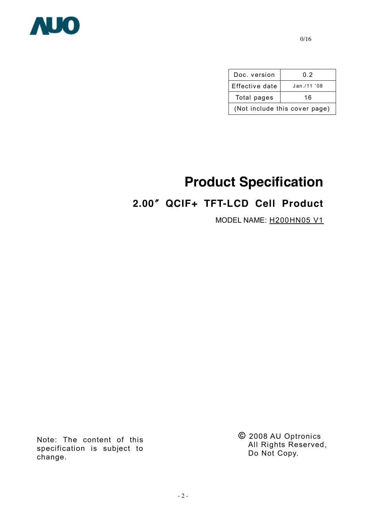

| Doc. version                  | 0.2        |  |  |  |  |
|-------------------------------|------------|--|--|--|--|
| Effective date                | Jan./11'08 |  |  |  |  |
| Total pages                   | 16         |  |  |  |  |
| (Not include this cover page) |            |  |  |  |  |

# **Product Specification**

## **2.00**〞**QCIF+ TFT-LCD Cell Product**

MODEL NAME: H200HN05 V1

Note: The content of this specification is subject to change.

**©** 2008 AU Optronics All Rights Reserved, Do Not Copy.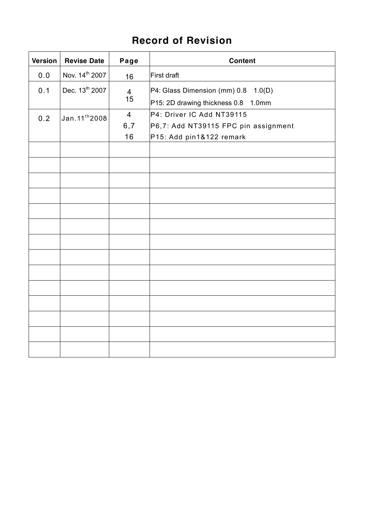## **Record of Revision**

| Version | <b>Revise Date</b>         | Page                 | <b>Content</b>                                                             |
|---------|----------------------------|----------------------|----------------------------------------------------------------------------|
| $0.0$   | Nov. 14th 2007             | 16                   | First draft                                                                |
| 0.1     | Dec. 13th 2007             | $\overline{4}$<br>15 | P4: Glass Dimension (mm) 0.8 1.0(D)<br>P15: 2D drawing thickness 0.8 1.0mm |
| 0.2     | Jan. 11 <sup>th</sup> 2008 | $\overline{4}$       | P4: Driver IC Add NT39115                                                  |
|         |                            | 6, 7                 | P6,7: Add NT39115 FPC pin assignment                                       |
|         |                            | 16                   | P15: Add pin1&122 remark                                                   |
|         |                            |                      |                                                                            |
|         |                            |                      |                                                                            |
|         |                            |                      |                                                                            |
|         |                            |                      |                                                                            |
|         |                            |                      |                                                                            |
|         |                            |                      |                                                                            |
|         |                            |                      |                                                                            |
|         |                            |                      |                                                                            |
|         |                            |                      |                                                                            |
|         |                            |                      |                                                                            |
|         |                            |                      |                                                                            |
|         |                            |                      |                                                                            |
|         |                            |                      |                                                                            |
|         |                            |                      |                                                                            |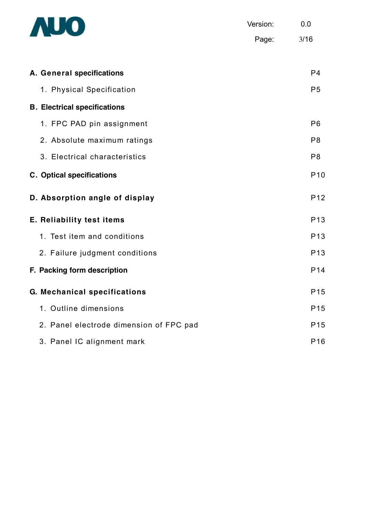

Version: 0.0 Page: 3/16

| A. General specifications               | P <sub>4</sub>  |
|-----------------------------------------|-----------------|
| 1. Physical Specification               | P <sub>5</sub>  |
| <b>B. Electrical specifications</b>     |                 |
| 1. FPC PAD pin assignment               | P <sub>6</sub>  |
| 2. Absolute maximum ratings             | P <sub>8</sub>  |
| 3. Electrical characteristics           | P <sub>8</sub>  |
| <b>C. Optical specifications</b>        | P <sub>10</sub> |
| D. Absorption angle of display          | P <sub>12</sub> |
| E. Reliability test items               | P <sub>13</sub> |
| 1. Test item and conditions             | P <sub>13</sub> |
| 2. Failure judgment conditions          | P <sub>13</sub> |
| F. Packing form description             | P <sub>14</sub> |
| G. Mechanical specifications            | P <sub>15</sub> |
| 1. Outline dimensions                   | P <sub>15</sub> |
| 2. Panel electrode dimension of FPC pad | P <sub>15</sub> |
| 3. Panel IC alignment mark              | P <sub>16</sub> |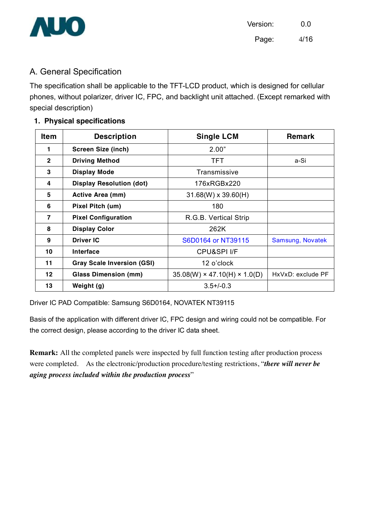

A. General Specification

The specification shall be applicable to the TFT-LCD product, which is designed for cellular phones, without polarizer, driver IC, FPC, and backlight unit attached. (Except remarked with special description)

#### **1. Physical specifications**

| ltem           | <b>Description</b>                | <b>Single LCM</b>                        | <b>Remark</b>     |
|----------------|-----------------------------------|------------------------------------------|-------------------|
| 1              | <b>Screen Size (inch)</b>         | 2.00"                                    |                   |
| $\overline{2}$ | <b>Driving Method</b>             | <b>TFT</b>                               | a-Si              |
| 3              | <b>Display Mode</b>               | Transmissive                             |                   |
| 4              | <b>Display Resolution (dot)</b>   | 176xRGBx220                              |                   |
| 5              | <b>Active Area (mm)</b>           | $31.68(W) \times 39.60(H)$               |                   |
| 6              | Pixel Pitch (um)                  | 180                                      |                   |
| $\overline{7}$ | <b>Pixel Configuration</b>        | R.G.B. Vertical Strip                    |                   |
| 8              | <b>Display Color</b>              | 262K                                     |                   |
| 9              | <b>Driver IC</b>                  | S6D0164 or NT39115                       | Samsung, Novatek  |
| 10             | Interface                         | <b>CPU&amp;SPI I/F</b>                   |                   |
| 11             | <b>Gray Scale Inversion (GSI)</b> | 12 o'clock                               |                   |
| $12 \,$        | <b>Glass Dimension (mm)</b>       | $35.08(W) \times 47.10(H) \times 1.0(D)$ | HxVxD: exclude PF |
| 13             | Weight (g)                        | $3.5 + (-0.3)$                           |                   |

Driver IC PAD Compatible: Samsung S6D0164, NOVATEK NT39115

Basis of the application with different driver IC, FPC design and wiring could not be compatible. For the correct design, please according to the driver IC data sheet.

**Remark:** All the completed panels were inspected by full function testing after production process were completed. As the electronic/production procedure/testing restrictions, "*there will never be aging process included within the production process*"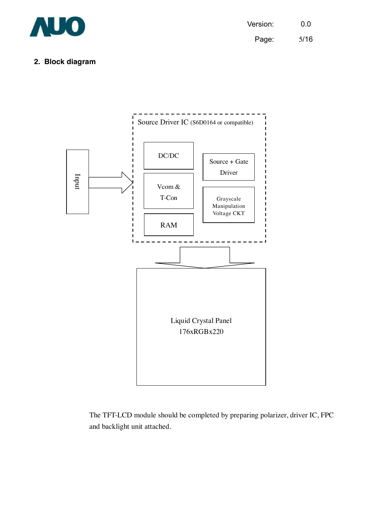

#### **2. Block diagram**



The TFT-LCD module should be completed by preparing polarizer, driver IC, FPC and backlight unit attached.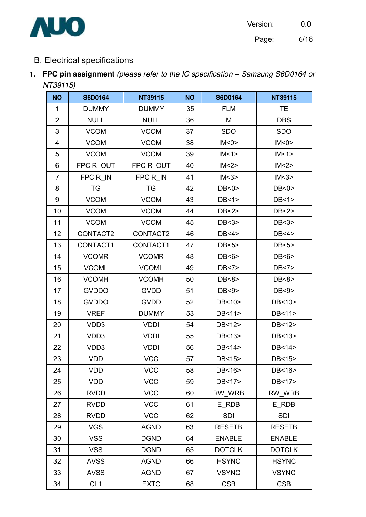



Page: 6/16

### B. Electrical specifications

**1. FPC pin assignment** *(please refer to the IC specification – Samsung S6D0164 or NT39115)*

| <b>NO</b>      | <b>S6D0164</b>  | NT39115      | <b>NO</b> | <b>S6D0164</b> | <b>NT39115</b> |
|----------------|-----------------|--------------|-----------|----------------|----------------|
| 1              | <b>DUMMY</b>    | <b>DUMMY</b> | 35        | <b>FLM</b>     | <b>TE</b>      |
| $\overline{2}$ | <b>NULL</b>     | <b>NULL</b>  | 36        | M              | <b>DBS</b>     |
| 3              | <b>VCOM</b>     | <b>VCOM</b>  | 37        | <b>SDO</b>     | <b>SDO</b>     |
| 4              | <b>VCOM</b>     | <b>VCOM</b>  | 38        | IM < 0 >       | IM < 0 >       |
| 5              | <b>VCOM</b>     | <b>VCOM</b>  | 39        | IM < 1>        | IM < 1>        |
| 6              | FPC ROUT        | FPC R_OUT    | 40        | IM < 2>        | IM < 2         |
| $\overline{7}$ | FPC R IN        | FPC R IN     | 41        | IM < 3>        | IM < 3         |
| 8              | TG              | <b>TG</b>    | 42        | DB < 0         | DB < 0         |
| 9              | <b>VCOM</b>     | <b>VCOM</b>  | 43        | DB < 1 >       | DB < 1 >       |
| 10             | <b>VCOM</b>     | <b>VCOM</b>  | 44        | DB < 2         | DB < 2         |
| 11             | <b>VCOM</b>     | <b>VCOM</b>  | 45        | DB < 3         | DB < 3         |
| 12             | CONTACT2        | CONTACT2     | 46        | DB < 4         | DB < 4 >       |
| 13             | CONTACT1        | CONTACT1     | 47        | DB<5>          | DB<5>          |
| 14             | <b>VCOMR</b>    | <b>VCOMR</b> | 48        | DB < 6         | DB < 6         |
| 15             | <b>VCOML</b>    | <b>VCOML</b> | 49        | DB < 7         | DB < 7         |
| 16             | <b>VCOMH</b>    | <b>VCOMH</b> | 50        | DB<8>          | DB<8>          |
| 17             | <b>GVDDO</b>    | <b>GVDD</b>  | 51        | DB<9>          | DB<9>          |
| 18             | <b>GVDDO</b>    | <b>GVDD</b>  | 52        | DB<10>         | DB<10>         |
| 19             | <b>VREF</b>     | <b>DUMMY</b> | 53        | DB<11>         | DB<11>         |
| 20             | VDD3            | <b>VDDI</b>  | 54        | DB<12>         | DB<12>         |
| 21             | VDD3            | <b>VDDI</b>  | 55        | DB<13>         | DB<13>         |
| 22             | VDD3            | <b>VDDI</b>  | 56        | DB<14>         | DB<14>         |
| 23             | <b>VDD</b>      | <b>VCC</b>   | 57        | DB<15>         | DB<15>         |
| 24             | <b>VDD</b>      | <b>VCC</b>   | 58        | DB<16>         | DB<16>         |
| 25             | <b>VDD</b>      | <b>VCC</b>   | 59        | DB<17>         | DB<17>         |
| 26             | <b>RVDD</b>     | <b>VCC</b>   | 60        | RW WRB         | RW_WRB         |
| 27             | <b>RVDD</b>     | <b>VCC</b>   | 61        | E RDB          | E RDB          |
| 28             | <b>RVDD</b>     | <b>VCC</b>   | 62        | <b>SDI</b>     | <b>SDI</b>     |
| 29             | <b>VGS</b>      | <b>AGND</b>  | 63        | <b>RESETB</b>  | <b>RESETB</b>  |
| 30             | <b>VSS</b>      | <b>DGND</b>  | 64        | <b>ENABLE</b>  | <b>ENABLE</b>  |
| 31             | <b>VSS</b>      | <b>DGND</b>  | 65        | <b>DOTCLK</b>  | <b>DOTCLK</b>  |
| 32             | <b>AVSS</b>     | <b>AGND</b>  | 66        | <b>HSYNC</b>   | <b>HSYNC</b>   |
| 33             | <b>AVSS</b>     | <b>AGND</b>  | 67        | <b>VSYNC</b>   | <b>VSYNC</b>   |
| 34             | CL <sub>1</sub> | <b>EXTC</b>  | 68        | <b>CSB</b>     | <b>CSB</b>     |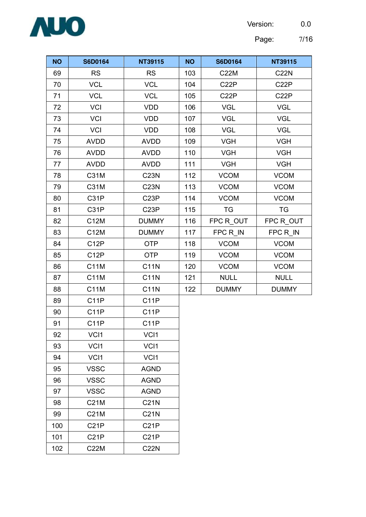Version: 0.0



Page: 7/16

| <b>NO</b> | <b>S6D0164</b>    | <b>NT39115</b>    | <b>NO</b> | <b>S6D0164</b>    | NT39115           |
|-----------|-------------------|-------------------|-----------|-------------------|-------------------|
| 69        | <b>RS</b>         | <b>RS</b>         | 103       | <b>C22M</b>       | <b>C22N</b>       |
| 70        | <b>VCL</b>        | <b>VCL</b>        | 104       | C <sub>2</sub> 2P | C <sub>2</sub> 2P |
| 71        | <b>VCL</b>        | <b>VCL</b>        | 105       | C <sub>2</sub> 2P | C <sub>2</sub> 2P |
| 72        | <b>VCI</b>        | <b>VDD</b>        | 106       | <b>VGL</b>        | <b>VGL</b>        |
| 73        | <b>VCI</b>        | <b>VDD</b>        | 107       | <b>VGL</b>        | <b>VGL</b>        |
| 74        | <b>VCI</b>        | <b>VDD</b>        | 108       | <b>VGL</b>        | <b>VGL</b>        |
| 75        | <b>AVDD</b>       | <b>AVDD</b>       | 109       | <b>VGH</b>        | <b>VGH</b>        |
| 76        | <b>AVDD</b>       | <b>AVDD</b>       | 110       | <b>VGH</b>        | <b>VGH</b>        |
| 77        | <b>AVDD</b>       | <b>AVDD</b>       | 111       | <b>VGH</b>        | <b>VGH</b>        |
| 78        | C31M              | <b>C23N</b>       | 112       | <b>VCOM</b>       | <b>VCOM</b>       |
| 79        | C31M              | <b>C23N</b>       | 113       | <b>VCOM</b>       | <b>VCOM</b>       |
| 80        | C31P              | C <sub>23</sub> P | 114       | <b>VCOM</b>       | <b>VCOM</b>       |
| 81        | C31P              | C <sub>23</sub> P | 115       | <b>TG</b>         | <b>TG</b>         |
| 82        | C12M              | <b>DUMMY</b>      | 116       | FPC R_OUT         | FPC ROUT          |
| 83        | C12M              | <b>DUMMY</b>      | 117       | FPC R IN          | FPC R IN          |
| 84        | C <sub>12</sub> P | <b>OTP</b>        | 118       | <b>VCOM</b>       | <b>VCOM</b>       |
| 85        | C <sub>12</sub> P | <b>OTP</b>        | 119       | <b>VCOM</b>       | <b>VCOM</b>       |
| 86        | C11M              | <b>C11N</b>       | 120       | <b>VCOM</b>       | <b>VCOM</b>       |
| 87        | C11M              | <b>C11N</b>       | 121       | <b>NULL</b>       | <b>NULL</b>       |
| 88        | C11M              | <b>C11N</b>       | 122       | <b>DUMMY</b>      | <b>DUMMY</b>      |
| 89        | C <sub>1</sub> 1P | C <sub>1</sub> 1P |           |                   |                   |
| 90        | C <sub>1</sub> 1P | C <sub>1</sub> 1P |           |                   |                   |
| 91        | C <sub>1</sub> 1P | C <sub>1</sub> 1P |           |                   |                   |
| 92        | VCI1              | VCI1              |           |                   |                   |
| 93        | VCI1              | VCI1              |           |                   |                   |
| 94        | VCI1              | VCI1              |           |                   |                   |
| 95        | <b>VSSC</b>       | <b>AGND</b>       |           |                   |                   |
| 96        | <b>VSSC</b>       | <b>AGND</b>       |           |                   |                   |
| 97        | <b>VSSC</b>       | <b>AGND</b>       |           |                   |                   |
| 98        | C21M              | <b>C21N</b>       |           |                   |                   |
| 99        | C21M              | <b>C21N</b>       |           |                   |                   |
| 100       | C <sub>21</sub> P | C21P              |           |                   |                   |
| 101       | C <sub>2</sub> 1P | C <sub>2</sub> 1P |           |                   |                   |
| 102       | <b>C22M</b>       | <b>C22N</b>       |           |                   |                   |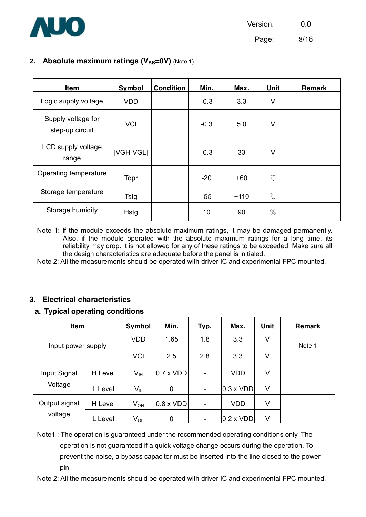

Page: 8/16

#### **2.** Absolute maximum ratings (V<sub>SS</sub>=0V) (Note 1)

| <b>Item</b>                           | Symbol           | <b>Condition</b> | Min.   | Max.   | <b>Unit</b>   | <b>Remark</b> |
|---------------------------------------|------------------|------------------|--------|--------|---------------|---------------|
| Logic supply voltage                  | <b>VDD</b>       |                  | $-0.3$ | 3.3    | V             |               |
| Supply voltage for<br>step-up circuit | <b>VCI</b>       |                  | $-0.3$ | 5.0    | V             |               |
| LCD supply voltage<br>range           | <b>IVGH-VGLI</b> |                  | $-0.3$ | 33     | V             |               |
| Operating temperature                 | Topr             |                  | $-20$  | +60    | $\rm{C}$      |               |
| Storage temperature                   | <b>Tstg</b>      |                  | $-55$  | $+110$ | $\rm{C}$      |               |
| Storage humidity                      | Hstg             |                  | 10     | 90     | $\frac{0}{0}$ |               |

Note 1: If the module exceeds the absolute maximum ratings, it may be damaged permanently. Also, if the module operated with the absolute maximum ratings for a long time, its reliability may drop. It is not allowed for any of these ratings to be exceeded. Make sure all the design characteristics are adequate before the panel is initialed.

Note 2: All the measurements should be operated with driver IC and experimental FPC mounted.

#### **3. Electrical characteristics**

#### **a. Typical operating conditions**

| <u>Item</u>        |            | <b>Symbol</b>              | Min.                      | Typ.                         | Max.             | <b>Unit</b> | <b>Remark</b> |
|--------------------|------------|----------------------------|---------------------------|------------------------------|------------------|-------------|---------------|
|                    | <b>VDD</b> | 1.65                       | 1.8                       | 3.3                          | V                | Note 1      |               |
| Input power supply |            | <b>VCI</b>                 | 2.5                       | 2.8                          | 3.3              | V           |               |
| Input Signal       | H Level    | V <sub>IH</sub>            | $ 0.7 \times \text{VDD} $ | $\overline{\phantom{a}}$     | <b>VDD</b>       | V           |               |
| Voltage            | L Level    | VĩL                        | 0                         | -                            | $0.3 \times VDD$ | V           |               |
| Output signal      | H Level    | $V_{OH}$                   | $0.8 \times VDD$          | $\overline{\phantom{a}}$     | <b>VDD</b>       | V           |               |
| voltage            | L Level    | $\mathsf{V}_{\mathsf{OL}}$ | 0                         | $\qquad \qquad \blacksquare$ | $0.2 \times VDD$ | V           |               |

Note1 : The operation is guaranteed under the recommended operating conditions only. The operation is not guaranteed if a quick voltage change occurs during the operation. To prevent the noise, a bypass capacitor must be inserted into the line closed to the power pin.

Note 2: All the measurements should be operated with driver IC and experimental FPC mounted.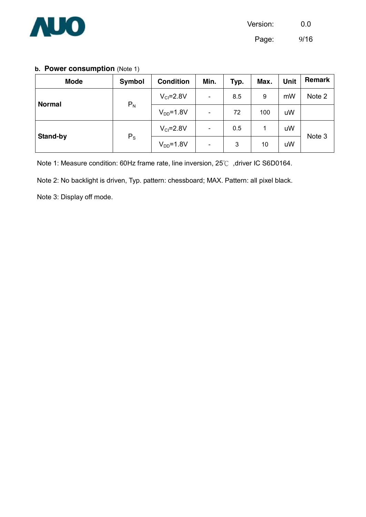

Page: 9/16

#### **b. Power consumption (Note 1)**

| <b>Mode</b>     | Symbol  | <b>Condition</b> | Min.                     | Typ. | Max. | <b>Unit</b> | Remark |
|-----------------|---------|------------------|--------------------------|------|------|-------------|--------|
|                 |         | $V_{Cl}$ =2.8V   | $\overline{\phantom{a}}$ | 8.5  | 9    | mW          | Note 2 |
| <b>Normal</b>   | $P_N$   | $V_{DD} = 1.8V$  | $\blacksquare$           | 72   | 100  | uW          |        |
| <b>Stand-by</b> | $P_{S}$ | $V_{Cl} = 2.8V$  | $\overline{\phantom{a}}$ | 0.5  | 1    | uW          |        |
|                 |         | $V_{DD} = 1.8V$  | $\overline{\phantom{a}}$ | 3    | 10   | uW          | Note 3 |

Note 1: Measure condition: 60Hz frame rate, line inversion, 25℃ ,driver IC S6D0164.

Note 2: No backlight is driven, Typ. pattern: chessboard; MAX. Pattern: all pixel black.

Note 3: Display off mode.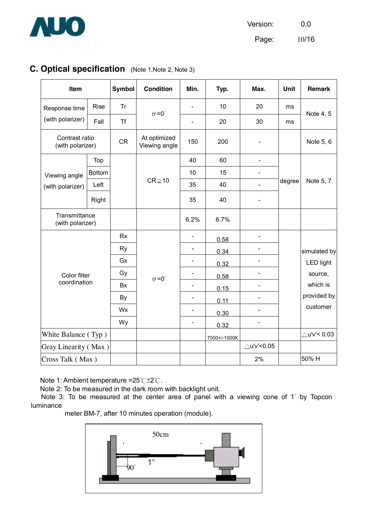

Version: 0.0

Page:  $10/16$ 

### **C. Optical specification** (Note 1,Note 2, Note 3)

| Item                               |               | <b>Symbol</b> | <b>Condition</b>              | Min.                     | Typ.         | Max.                         | Unit   | <b>Remark</b>          |
|------------------------------------|---------------|---------------|-------------------------------|--------------------------|--------------|------------------------------|--------|------------------------|
| Response time                      | <b>Rise</b>   | Tr            | $\theta = 0^{\circ}$          | $\overline{a}$           | 10           | 20                           | ms     |                        |
| (with polarizer)                   | Fall          | <b>Tf</b>     |                               | $\blacksquare$           | 20           | 30                           | ms     | Note 4, 5              |
| Contrast ratio<br>(with polarizer) |               | <b>CR</b>     | At optimized<br>Viewing angle | 150                      | 200          | $\qquad \qquad \blacksquare$ |        | Note 5, 6              |
|                                    | Top           |               |                               | 40                       | 60           | -                            |        |                        |
| Viewing angle                      | <b>Bottom</b> |               |                               | 10                       | 15           | $\blacksquare$               |        |                        |
| (with polarizer)                   | Left          |               | $CR \ge 10$                   | 35                       | 40           | $\overline{a}$               | degree | Note 5, 7              |
|                                    | Right         |               |                               | 35                       | 40           | $\blacksquare$               |        |                        |
| Transmittance<br>(with polarizer)  |               |               |                               | 6.2%                     | 6.7%         |                              |        |                        |
|                                    |               | <b>Rx</b>     |                               | $\overline{\phantom{0}}$ | 0.58         | $\frac{1}{2}$                |        |                        |
|                                    |               | <b>Ry</b>     |                               | $\overline{\phantom{0}}$ | 0.34         |                              |        | simulated by           |
|                                    |               | Gx            |                               | $\frac{1}{2}$            | 0.32         | $\overline{\phantom{0}}$     |        | <b>LED light</b>       |
| Color filter                       |               | Gy            | $\theta = 0^{\circ}$          | $\blacksquare$           | 0.58         | $\overline{a}$               |        | source,                |
| coordination                       |               | <b>Bx</b>     |                               | $\overline{\phantom{0}}$ | 0.15         | $\blacksquare$               |        | which is               |
|                                    |               | By            |                               | $\overline{\phantom{a}}$ | 0.11         |                              |        | provided by            |
|                                    |               | Wx            |                               | $\overline{\phantom{a}}$ | 0.30         | $\overline{\phantom{0}}$     |        | customer               |
|                                    |               | Wy            |                               | $\overline{\phantom{a}}$ | 0.32         |                              |        |                        |
| White Balance (Typ)                |               |               |                               |                          | 7000+/-1000K |                              |        | $\triangle$ u'v'< 0.03 |
| Gray Linearity (Max)               |               |               |                               |                          |              | ∆u'v'<0.05                   |        |                        |
| Cross Talk (Max)                   |               |               |                               |                          |              | 2%                           |        | 50% H                  |

Note 1: Ambient temperature =25℃±2℃.

Note 2: To be measured in the dark room with backlight unit.

Note 3: To be measured at the center area of panel with a viewing cone of 1° by Topcon luminance

meter BM-7, after 10 minutes operation (module).

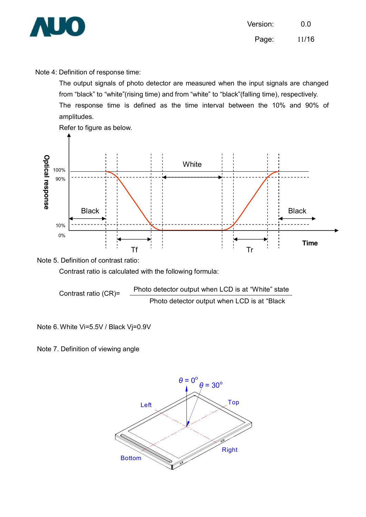![](_page_11_Picture_0.jpeg)

Note 4: Definition of response time:

The output signals of photo detector are measured when the input signals are changed from "black" to "white"(rising time) and from "white" to "black"(falling time), respectively. The response time is defined as the time interval between the 10% and 90% of amplitudes.

![](_page_11_Figure_4.jpeg)

Note 5. Definition of contrast ratio:

Contrast ratio is calculated with the following formula:

Contrast ratio (CR)= Photo detector output when LCD is at "White" state Photo detector output when LCD is at "Black

Note 6.White Vi=5.5V / Black Vj=0.9V

Note 7. Definition of viewing angle

![](_page_11_Figure_10.jpeg)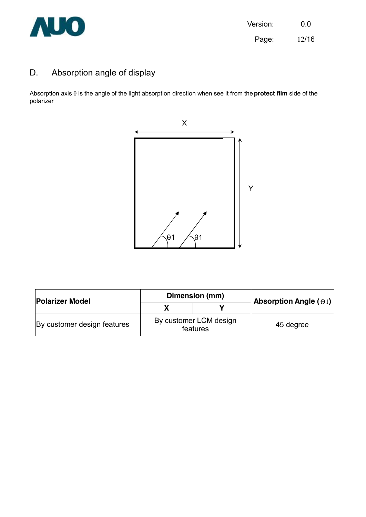![](_page_12_Picture_0.jpeg)

### D. Absorption angle of display

Absorption axis θ is the angle of the light absorption direction when see it from the **protect film** side of the polarizer

![](_page_12_Figure_4.jpeg)

| <b>Polarizer Model</b>      |                                    | Dimension (mm) | Absorption Angle $(\Theta)$ |  |
|-----------------------------|------------------------------------|----------------|-----------------------------|--|
|                             |                                    |                |                             |  |
| By customer design features | By customer LCM design<br>features |                | 45 degree                   |  |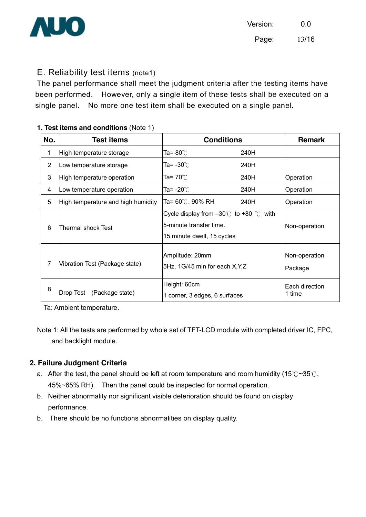![](_page_13_Picture_0.jpeg)

### E. Reliability test items (note1)

The panel performance shall meet the judgment criteria after the testing items have been performed. However, only a single item of these tests shall be executed on a single panel. No more one test item shall be executed on a single panel.

#### **1. Test items and conditions** (Note 1)

| No.            | <b>Test items</b>                  | <b>Conditions</b>                                                                                                |      | <b>Remark</b>            |
|----------------|------------------------------------|------------------------------------------------------------------------------------------------------------------|------|--------------------------|
| 1              | High temperature storage           | Ta= 80℃                                                                                                          | 240H |                          |
| $\overline{2}$ | Low temperature storage            | Ta= -30℃                                                                                                         | 240H |                          |
| 3              | High temperature operation         | Ta= 70℃                                                                                                          | 240H | Operation                |
| 4              | Low temperature operation          | Ta= -20℃                                                                                                         | 240H | Operation                |
| 5              | High temperature and high humidity | Ta= 60℃. 90% RH                                                                                                  | 240H | Operation                |
| 6              | <b>Thermal shock Test</b>          | Cycle display from $-30^{\circ}$ to +80 $^{\circ}$ with<br>5-minute transfer time.<br>15 minute dwell, 15 cycles |      | Non-operation            |
| 7              | Vibration Test (Package state)     | Amplitude: 20mm<br>5Hz, 1G/45 min for each X, Y, Z                                                               |      | Non-operation<br>Package |
| 8              | Drop Test (Package state)          | Height: 60cm<br>1 corner, 3 edges, 6 surfaces                                                                    |      | Each direction<br>1 time |

Ta: Ambient temperature.

Note 1: All the tests are performed by whole set of TFT-LCD module with completed driver IC, FPC, and backlight module.

#### **2. Failure Judgment Criteria**

- a. After the test, the panel should be left at room temperature and room humidity (15° $C \sim 35^{\circ}$ C, 45%~65% RH). Then the panel could be inspected for normal operation.
- b. Neither abnormality nor significant visible deterioration should be found on display performance.
- b. There should be no functions abnormalities on display quality.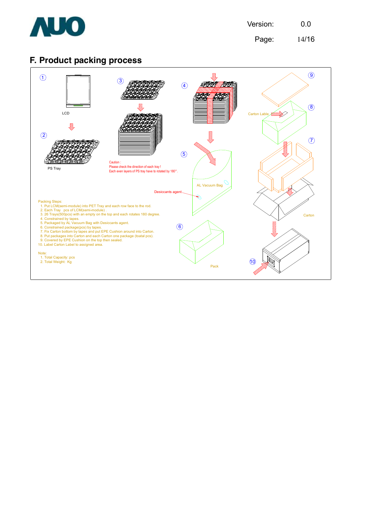![](_page_14_Picture_0.jpeg)

Page: 14/16

### **F. Product packing process**

![](_page_14_Figure_4.jpeg)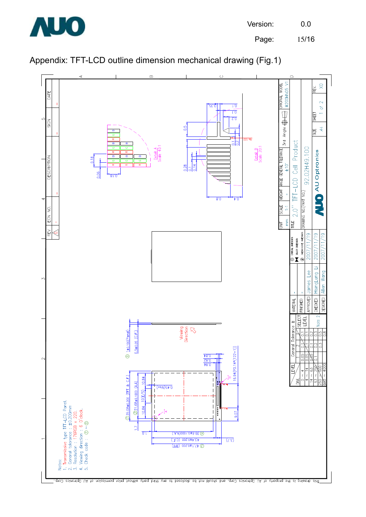![](_page_15_Picture_0.jpeg)

Page: 15/16

![](_page_15_Figure_3.jpeg)

![](_page_15_Figure_4.jpeg)